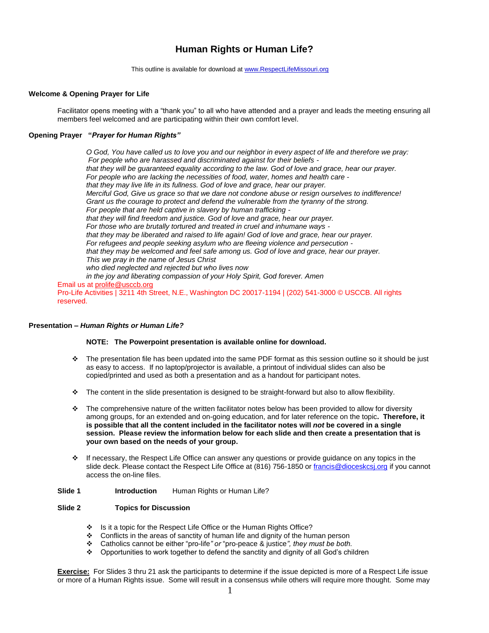# **Human Rights or Human Life?**

This outline is available for download at [www.RespectLifeMissouri.org](http://www.respectlifemissouri.org/)

## **Welcome & Opening Prayer for Life**

Facilitator opens meeting with a "thank you" to all who have attended and a prayer and leads the meeting ensuring all members feel welcomed and are participating within their own comfort level.

# **Opening Prayer "***Prayer for Human Rights"*

*O God, You have called us to love you and our neighbor in every aspect of life and therefore we pray: For people who are harassed and discriminated against for their beliefs that they will be guaranteed equality according to the law. God of love and grace, hear our prayer. For people who are lacking the necessities of food, water, homes and health care that they may live life in its fullness. God of love and grace, hear our prayer. Merciful God, Give us grace so that we dare not condone abuse or resign ourselves to indifference! Grant us the courage to protect and defend the vulnerable from the tyranny of the strong. For people that are held captive in slavery by human trafficking that they will find freedom and justice. God of love and grace, hear our prayer. For those who are brutally tortured and treated in cruel and inhumane ways that they may be liberated and raised to life again! God of love and grace, hear our prayer. For refugees and people seeking asylum who are fleeing violence and persecution that they may be welcomed and feel safe among us. God of love and grace, hear our prayer. This we pray in the name of Jesus Christ who died neglected and rejected but who lives now in the joy and liberating compassion of your Holy Spirit, God forever. Amen* Email us at [prolife@usccb.org](mailto:prolife@usccb.org)

Pro-Life Activities | 3211 4th Street, N.E., Washington DC 20017-1194 | (202) 541-3000 © USCCB. All rights reserved.

## **Presentation –** *Human Rights or Human Life?*

#### **NOTE: The Powerpoint presentation is available online for download.**

- $\div$  The presentation file has been updated into the same PDF format as this session outline so it should be just as easy to access. If no laptop/projector is available, a printout of individual slides can also be copied/printed and used as both a presentation and as a handout for participant notes.
- $\div$  The content in the slide presentation is designed to be straight-forward but also to allow flexibility.
- $\cdot \cdot$  The comprehensive nature of the written facilitator notes below has been provided to allow for diversity among groups, for an extended and on-going education, and for later reference on the topic**. Therefore, it is possible that all the content included in the facilitator notes will** *not* **be covered in a single session. Please review the information below for each slide and then create a presentation that is your own based on the needs of your group.**
- $\cdot \cdot$  If necessary, the Respect Life Office can answer any questions or provide guidance on any topics in the slide deck. Please contact the Respect Life Office at (816) 756-1850 o[r francis@dioceskcsj.org](mailto:francis@dioceskcsj.org) if you cannot access the on-line files.

#### **Slide 1 Introduction Human Rights or Human Life?**

#### **Slide 2 Topics for Discussion**

- Is it a topic for the Respect Life Office or the Human Rights Office?
- \* Conflicts in the areas of sanctity of human life and dignity of the human person
- Catholics cannot be either "pro-life*" or* "pro-peace & justice*", they must be both.*
- ◆ Opportunities to work together to defend the sanctity and dignity of all God's children

**Exercise:** For Slides 3 thru 21 ask the participants to determine if the issue depicted is more of a Respect Life issue or more of a Human Rights issue. Some will result in a consensus while others will require more thought. Some may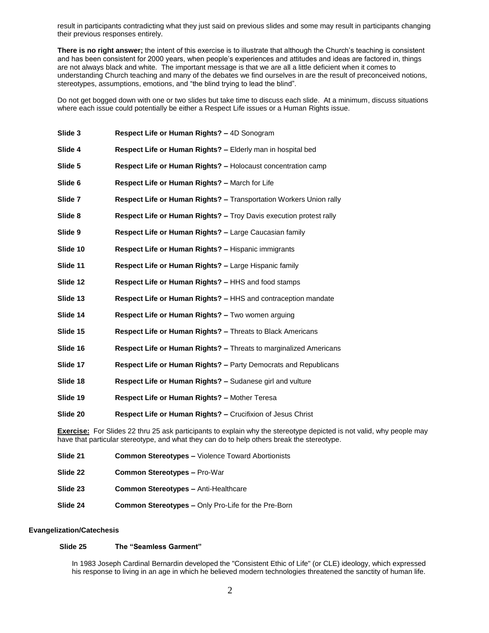result in participants contradicting what they just said on previous slides and some may result in participants changing their previous responses entirely.

**There is no right answer;** the intent of this exercise is to illustrate that although the Church's teaching is consistent and has been consistent for 2000 years, when people's experiences and attitudes and ideas are factored in, things are not always black and white. The important message is that we are all a little deficient when it comes to understanding Church teaching and many of the debates we find ourselves in are the result of preconceived notions, stereotypes, assumptions, emotions, and "the blind trying to lead the blind".

Do not get bogged down with one or two slides but take time to discuss each slide. At a minimum, discuss situations where each issue could potentially be either a Respect Life issues or a Human Rights issue.

| Slide 3                                                                                                     | Respect Life or Human Rights? - 4D Sonogram                               |  |
|-------------------------------------------------------------------------------------------------------------|---------------------------------------------------------------------------|--|
| Slide 4                                                                                                     | Respect Life or Human Rights? - Elderly man in hospital bed               |  |
| Slide 5                                                                                                     | Respect Life or Human Rights? - Holocaust concentration camp              |  |
| Slide 6                                                                                                     | Respect Life or Human Rights? - March for Life                            |  |
| Slide 7                                                                                                     | <b>Respect Life or Human Rights? - Transportation Workers Union rally</b> |  |
| Slide 8                                                                                                     | Respect Life or Human Rights? - Troy Davis execution protest rally        |  |
| Slide 9                                                                                                     | Respect Life or Human Rights? - Large Caucasian family                    |  |
| Slide 10                                                                                                    | <b>Respect Life or Human Rights? – Hispanic immigrants</b>                |  |
| Slide 11                                                                                                    | Respect Life or Human Rights? - Large Hispanic family                     |  |
| Slide 12                                                                                                    | <b>Respect Life or Human Rights? – HHS and food stamps</b>                |  |
| Slide 13                                                                                                    | <b>Respect Life or Human Rights? – HHS and contraception mandate</b>      |  |
| Slide 14                                                                                                    | Respect Life or Human Rights? - Two women arguing                         |  |
| Slide 15                                                                                                    | Respect Life or Human Rights? - Threats to Black Americans                |  |
| Slide 16                                                                                                    | Respect Life or Human Rights? - Threats to marginalized Americans         |  |
| Slide 17                                                                                                    | Respect Life or Human Rights? - Party Democrats and Republicans           |  |
| Slide 18                                                                                                    | Respect Life or Human Rights? - Sudanese girl and vulture                 |  |
| Slide 19                                                                                                    | Respect Life or Human Rights? - Mother Teresa                             |  |
| Slide 20                                                                                                    | <b>Respect Life or Human Rights? – Crucifixion of Jesus Christ</b>        |  |
| <b>Exercise:</b> For Slides 22 thru 25 ask participants to explain why the stereotype depicted is not valid |                                                                           |  |

d, why people may have that particular stereotype, and what they can do to help others break the stereotype.

| Slide 21 | <b>Common Stereotypes – Violence Toward Abortionists</b>   |
|----------|------------------------------------------------------------|
| Slide 22 | <b>Common Stereotypes - Pro-War</b>                        |
| Slide 23 | <b>Common Stereotypes - Anti-Healthcare</b>                |
| Slide 24 | <b>Common Stereotypes – Only Pro-Life for the Pre-Born</b> |

#### **Evangelization/Catechesis**

#### **Slide 25 The "Seamless Garment"**

In 1983 Joseph Cardinal Bernardin developed the "Consistent Ethic of Life" (or CLE) ideology, which expressed his response to living in an age in which he believed modern technologies threatened the sanctity of human life.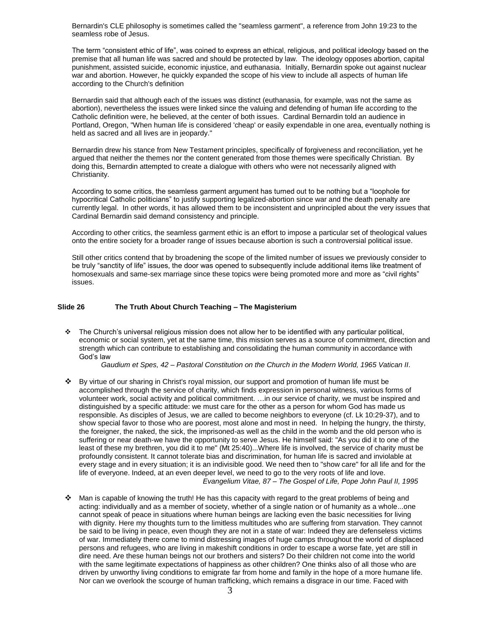Bernardin's CLE philosophy is sometimes called the "seamless garment", a reference from John 19:23 to the seamless robe of Jesus.

The term "consistent ethic of life", was coined to express an ethical, religious, and political ideology based on the premise that all human life was sacred and should be protected by law. The ideology opposes abortion, capital punishment, assisted suicide, economic injustice, and euthanasia. Initially, Bernardin spoke out against nuclear war and abortion. However, he quickly expanded the scope of his view to include all aspects of human life according to the Church's definition

Bernardin said that although each of the issues was distinct (euthanasia, for example, was not the same as abortion), nevertheless the issues were linked since the valuing and defending of human life according to the Catholic definition were, he believed, at the center of both issues. Cardinal Bernardin told an audience in Portland, Oregon, "When human life is considered 'cheap' or easily expendable in one area, eventually nothing is held as sacred and all lives are in jeopardy."

Bernardin drew his stance from New Testament principles, specifically of forgiveness and reconciliation, yet he argued that neither the themes nor the content generated from those themes were specifically Christian. By doing this, Bernardin attempted to create a dialogue with others who were not necessarily aligned with Christianity.

According to some critics, the seamless garment argument has turned out to be nothing but a "loophole for hypocritical Catholic politicians" to justify supporting legalized-abortion since war and the death penalty are currently legal. In other words, it has allowed them to be inconsistent and unprincipled about the very issues that Cardinal Bernardin said demand consistency and principle.

According to other critics, the seamless garment ethic is an effort to impose a particular set of theological values onto the entire society for a broader range of issues because abortion is such a controversial political issue.

Still other critics contend that by broadening the scope of the limited number of issues we previously consider to be truly "sanctity of life" issues, the door was opened to subsequently include additional items like treatment of homosexuals and same-sex marriage since these topics were being promoted more and more as "civil rights" issues.

#### **Slide 26 The Truth About Church Teaching – The Magisterium**

 $\div$  The Church's universal religious mission does not allow her to be identified with any particular political, economic or social system, yet at the same time, this mission serves as a source of commitment, direction and strength which can contribute to establishing and consolidating the human community in accordance with God's law

 *Gaudium et Spes, 42 – Pastoral Constitution on the Church in the Modern World, 1965 Vatican II.* 

- By virtue of our sharing in Christ's royal mission, our support and promotion of human life must be accomplished through the service of charity, which finds expression in personal witness, various forms of volunteer work, social activity and political commitment. …in our service of charity, we must be inspired and distinguished by a specific attitude: we must care for the other as a person for whom God has made us responsible. As disciples of Jesus, we are called to become neighbors to everyone (cf. Lk 10:29-37), and to show special favor to those who are poorest, most alone and most in need. In helping the hungry, the thirsty, the foreigner, the naked, the sick, the imprisoned-as well as the child in the womb and the old person who is suffering or near death-we have the opportunity to serve Jesus. He himself said: "As you did it to one of the least of these my brethren, you did it to me" (Mt 25:40)...Where life is involved, the service of charity must be profoundly consistent. It cannot tolerate bias and discrimination, for human life is sacred and inviolable at every stage and in every situation; it is an indivisible good. We need then to "show care" for all life and for the life of everyone. Indeed, at an even deeper level, we need to go to the very roots of life and love.  *Evangelium Vitae, 87 – The Gospel of Life, Pope John Paul II, 1995*
- Man is capable of knowing the truth! He has this capacity with regard to the great problems of being and acting: individually and as a member of society, whether of a single nation or of humanity as a whole...one cannot speak of peace in situations where human beings are lacking even the basic necessities for living with dignity. Here my thoughts turn to the limitless multitudes who are suffering from starvation. They cannot be said to be living in peace, even though they are not in a state of war: Indeed they are defenseless victims of war. Immediately there come to mind distressing images of huge camps throughout the world of displaced persons and refugees, who are living in makeshift conditions in order to escape a worse fate, yet are still in dire need. Are these human beings not our brothers and sisters? Do their children not come into the world with the same legitimate expectations of happiness as other children? One thinks also of all those who are driven by unworthy living conditions to emigrate far from home and family in the hope of a more humane life. Nor can we overlook the scourge of human trafficking, which remains a disgrace in our time. Faced with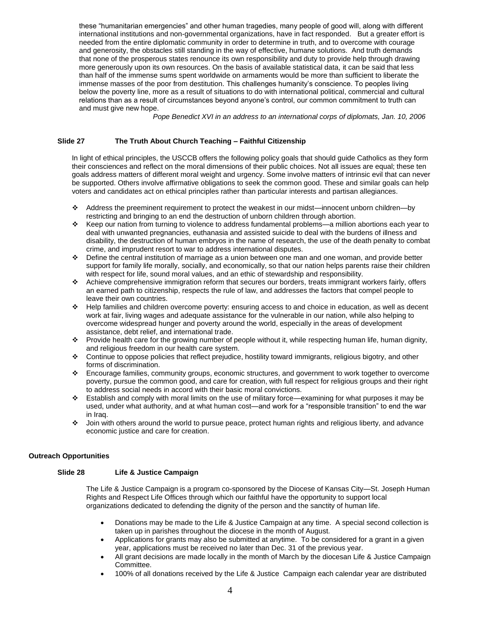these "humanitarian emergencies" and other human tragedies, many people of good will, along with different international institutions and non-governmental organizations, have in fact responded. But a greater effort is needed from the entire diplomatic community in order to determine in truth, and to overcome with courage and generosity, the obstacles still standing in the way of effective, humane solutions. And truth demands that none of the prosperous states renounce its own responsibility and duty to provide help through drawing more generously upon its own resources. On the basis of available statistical data, it can be said that less than half of the immense sums spent worldwide on armaments would be more than sufficient to liberate the immense masses of the poor from destitution. This challenges humanity's conscience. To peoples living below the poverty line, more as a result of situations to do with international political, commercial and cultural relations than as a result of circumstances beyond anyone's control, our common commitment to truth can and must give new hope.

 *Pope Benedict XVI in an address to an international corps of diplomats, Jan. 10, 2006*

# **Slide 27 The Truth About Church Teaching – Faithful Citizenship**

In light of ethical principles, the USCCB offers the following policy goals that should guide Catholics as they form their consciences and reflect on the moral dimensions of their public choices. Not all issues are equal; these ten goals address matters of different moral weight and urgency. Some involve matters of intrinsic evil that can never be supported. Others involve affirmative obligations to seek the common good. These and similar goals can help voters and candidates act on ethical principles rather than particular interests and partisan allegiances.

- Address the preeminent requirement to protect the weakest in our midst—innocent unborn children—by restricting and bringing to an end the destruction of unborn children through abortion.
- Keep our nation from turning to violence to address fundamental problems—a million abortions each year to deal with unwanted pregnancies, euthanasia and assisted suicide to deal with the burdens of illness and disability, the destruction of human embryos in the name of research, the use of the death penalty to combat crime, and imprudent resort to war to address international disputes.
- Define the central institution of marriage as a union between one man and one woman, and provide better support for family life morally, socially, and economically, so that our nation helps parents raise their children with respect for life, sound moral values, and an ethic of stewardship and responsibility.
- Achieve comprehensive immigration reform that secures our borders, treats immigrant workers fairly, offers an earned path to citizenship, respects the rule of law, and addresses the factors that compel people to leave their own countries.
- Help families and children overcome poverty: ensuring access to and choice in education, as well as decent work at fair, living wages and adequate assistance for the vulnerable in our nation, while also helping to overcome widespread hunger and poverty around the world, especially in the areas of development assistance, debt relief, and international trade.
- Provide health care for the growing number of people without it, while respecting human life, human dignity, and religious freedom in our health care system.
- Continue to oppose policies that reflect prejudice, hostility toward immigrants, religious bigotry, and other forms of discrimination.
- Encourage families, community groups, economic structures, and government to work together to overcome poverty, pursue the common good, and care for creation, with full respect for religious groups and their right to address social needs in accord with their basic moral convictions.
- Establish and comply with moral limits on the use of military force—examining for what purposes it may be used, under what authority, and at what human cost—and work for a "responsible transition" to end the war in Iraq.
- Join with others around the world to pursue peace, protect human rights and religious liberty, and advance economic justice and care for creation.

## **Outreach Opportunities**

## **Slide 28 Life & Justice Campaign**

The Life & Justice Campaign is a program co-sponsored by the Diocese of Kansas City—St. Joseph Human Rights and Respect Life Offices through which our faithful have the opportunity to support local organizations dedicated to defending the dignity of the person and the sanctity of human life.

- Donations may be made to the Life & Justice Campaign at any time. A special second collection is taken up in parishes throughout the diocese in the month of August.
- Applications for grants may also be submitted at anytime. To be considered for a grant in a given year, applications must be received no later than Dec. 31 of the previous year.
- All grant decisions are made locally in the month of March by the diocesan Life & Justice Campaign Committee.
- 100% of all donations received by the Life & Justice Campaign each calendar year are distributed